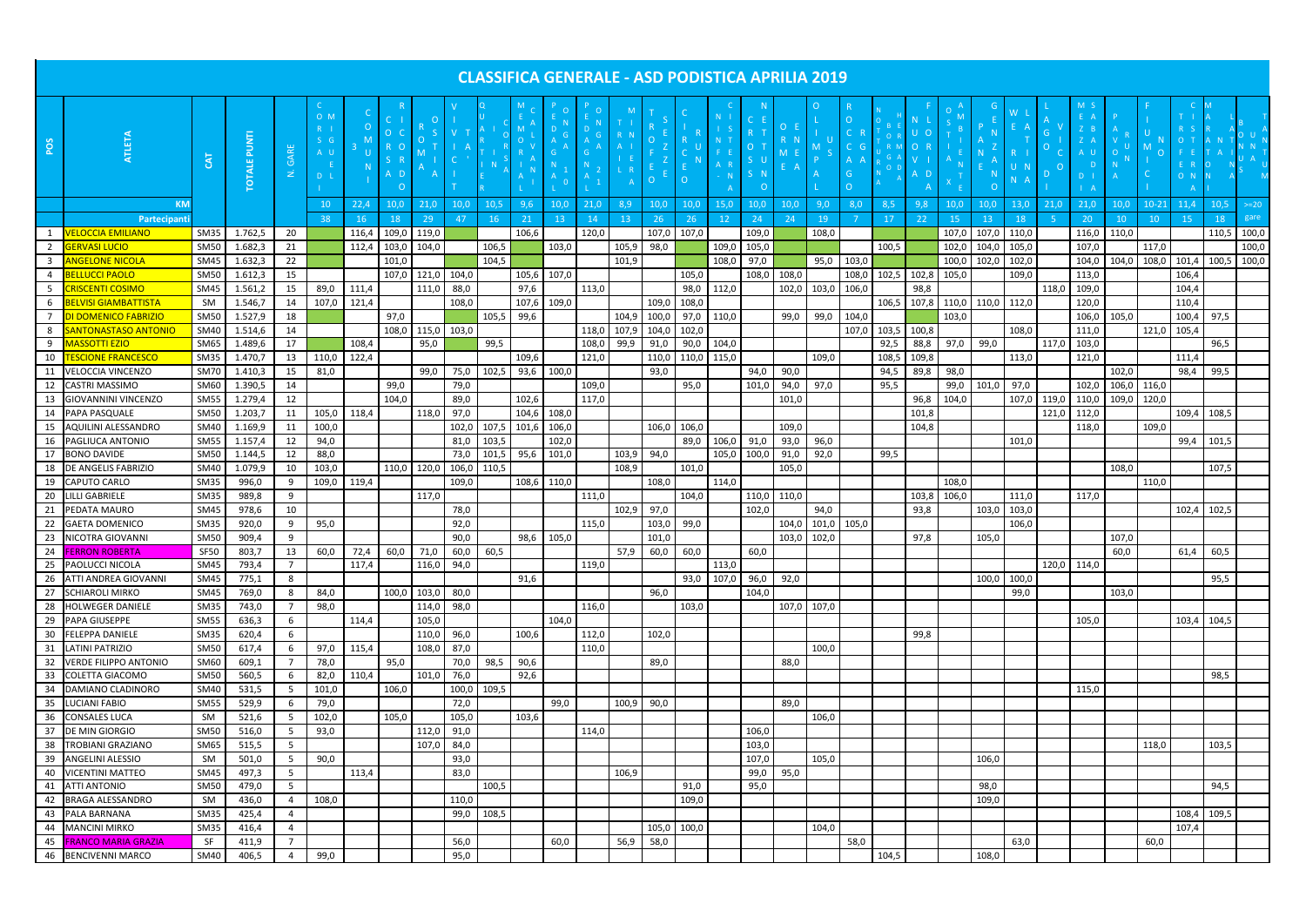| <b>CLASSIFICA GENERALE - ASD PODISTICA APRILIA 2019</b> |                                                     |                            |                              |                   |                              |                   |                            |                         |              |                   |             |             |            |                                  |                   |                   |                              |                        |                |                        |          |              |               |                         |                         |                |         |                     |                            |                              |                                  |             |                |
|---------------------------------------------------------|-----------------------------------------------------|----------------------------|------------------------------|-------------------|------------------------------|-------------------|----------------------------|-------------------------|--------------|-------------------|-------------|-------------|------------|----------------------------------|-------------------|-------------------|------------------------------|------------------------|----------------|------------------------|----------|--------------|---------------|-------------------------|-------------------------|----------------|---------|---------------------|----------------------------|------------------------------|----------------------------------|-------------|----------------|
|                                                         |                                                     |                            |                              |                   | $O$ M                        |                   |                            |                         |              |                   |             | - 0         | $\circ$    | $\blacksquare$<br>T I<br>$R$ $N$ |                   |                   | N                            |                        |                |                        |          |              |               |                         |                         |                |         | $Z$ $E$             |                            |                              | T 1<br>R S                       |             |                |
| POS                                                     |                                                     | 5 <sup>1</sup>             | <b>PUNTI</b><br><b>OTALE</b> | GARE<br>$\vec{z}$ | S G<br>A U<br>D <sub>L</sub> | U.                |                            |                         |              |                   |             |             |            | $A$  <br>L R                     |                   |                   | N <sub>1</sub><br>F E<br>A R | s u<br>5 N             |                |                        |          |              | - 0           |                         |                         |                | $\circ$ | Z A<br>A U<br>$D$ 1 | -U                         | $\circ$                      | $O$ T<br>$F - E$<br>E R<br>$O$ N |             |                |
|                                                         |                                                     |                            |                              |                   |                              |                   | - 0                        |                         |              |                   |             |             |            | $\overline{A}$                   |                   |                   |                              | $\cap$                 |                |                        | $\Omega$ |              |               |                         | $\Omega$                |                |         |                     |                            |                              | $\overline{A}$                   |             |                |
|                                                         | <b>KM</b><br>Partecipant                            |                            |                              |                   | 10<br>38                     | 22,4<br><b>16</b> | 10,0<br>18                 | 21,0<br>29 <sub>o</sub> | 10,0<br>47   | 10,5<br><b>16</b> | 9,6<br>21   | 10,0<br>13  | 21,0<br>14 | 8,9<br>13                        | 10,0<br><b>26</b> | 10,0<br><b>26</b> | 15,0<br>12 <sup>°</sup>      | 10,0<br>24             | 10,0<br>24     | 9,0<br>19 <sup>°</sup> | 8,0      | 8,5<br>17    | 9,8<br>22     | 10,0<br>15 <sub>1</sub> | 10,0<br>13 <sup>°</sup> | 13,0<br>18     | 21.0    | 21.0<br><b>20</b>   | 10.0<br>10 <sub>1</sub>    | $10 - 21$<br>10 <sub>1</sub> | 11.4<br>15                       | 10,5<br>18  | $>=20$<br>gare |
| 1                                                       | <b>VELOCCIA EMILIANO</b>                            | <b>SM35</b>                | 1.762,5                      | 20                |                              | 116,4             | 109,0                      | 119,0                   |              |                   | 106,6       |             | 120,0      |                                  | 107,0             | 107,0             |                              | 109,0                  |                | 108,0                  |          |              |               | 107,0                   | 107,0                   | 110,0          |         | 116,0               | 110,0                      |                              |                                  | 110,5       | 100,0          |
| $\overline{2}$                                          | <b>GERVASI LUCIO</b>                                | <b>SM50</b>                | 1.682,3                      | 21                |                              | 112,4             | 103,0                      | 104,0                   |              | 106,5             |             | 103,0       |            | 105,9                            | 98,0              |                   | 109,0                        | 105,0                  |                |                        |          | 100,5        |               | 102,0                   | 104,0                   | 105,0          |         | 107,0               |                            | 117,0                        |                                  |             | 100,0          |
| 3                                                       | <b>ANGELONE NICOLA</b>                              | <b>SM45</b>                | 1.632,3                      | 22                |                              |                   | 101,0                      |                         |              | 104,5             |             |             |            | 101,9                            |                   |                   | 108,0                        | 97,0                   |                | 95,0                   | 103,0    |              |               | 100,0                   | 102,0                   | 102,0          |         | 104,0               |                            | 104,0 108,0                  | 101,4                            | 100,5       | 100,0          |
| $\overline{4}$                                          | <b>BELLUCCI PAOLO</b>                               | <b>SM50</b>                | 1.612,3                      | 15                |                              |                   | 107.0                      | 121,0                   | 104,0        |                   |             | 105,6 107,0 |            |                                  |                   | 105,0             |                              | 108,0                  | 108,0          |                        | 108,0    | 102,5        | 102,8         | 105,0                   |                         | 109,0          |         | 113,0               |                            |                              | 106,4                            |             |                |
| - 5                                                     | <b>CRISCENTI COSIMO</b>                             | <b>SM45</b>                | 1.561,2                      | 15                | 89,0                         | 111,4             |                            | 111,0                   | 88,0         |                   | 97,6        |             | 113,0      |                                  |                   | 98,0              | 112,0                        |                        | 102,0          | 103,0                  | 106,0    |              | 98,8          |                         |                         |                | 118,0   | 109,0               |                            |                              | 104,4                            |             |                |
| 6                                                       | <b>BELVISI GIAMBATTISTA</b>                         | SM                         | 1.546,7                      | 14                | 107,0                        | 121,4             |                            |                         | 108,0        |                   | 107,6 109,0 |             |            |                                  | 109,0             | 108,0             |                              |                        |                |                        |          | 106,5        | 107,8         | 110,0                   | 110,0                   | 112,0          |         | 120,0               |                            |                              | 110,4                            |             |                |
| $\overline{7}$                                          | <b>DI DOMENICO FABRIZIO</b>                         | <b>SM50</b>                | 1.527,9                      | 18                |                              |                   | 97,0                       |                         |              | 105,5             | 99,6        |             |            | 104.9                            | 100,0             | 97,0              | 110,0                        |                        | 99,0           | 99,0                   | 104,0    |              |               | 103,0                   |                         |                |         | 106,0               | 105.0                      |                              | 100,4                            | 97,5        |                |
|                                                         | <b>SANTONASTASO ANTONIC</b>                         | <b>SM40</b>                | 1.514,6                      |                   |                              |                   | 108,0                      | 115,0                   | 103,0        |                   |             |             | 118,0      | 107,9                            | 104,0             | 102,0             |                              |                        |                |                        | 107,0    | 103,5        | 100,8         |                         |                         | 108,0          |         | 111,0               |                            | 121,0                        | 105,4                            |             |                |
| 8                                                       | <b>MASSOTTI EZIO</b>                                |                            |                              | 14                |                              |                   |                            |                         |              | 99,5              |             |             |            |                                  |                   |                   |                              |                        |                |                        |          |              |               | 97,0                    | 99,0                    |                |         |                     |                            |                              |                                  |             |                |
| 9                                                       | <b>TESCIONE FRANCESCO</b>                           | SM65<br><b>SM35</b>        | 1.489,6<br>1.470,7           | 17                | 110,0                        | 108,4             |                            | 95,0                    |              |                   | 109,6       |             | 108,0      | 99,9                             | 91,0              | 90,0              | 104,0                        |                        |                |                        |          | 92,5<br>108, | 88,8          |                         |                         |                | 117,0   | 103,0               |                            |                              | 111,4                            | 96,5        |                |
| 10                                                      |                                                     |                            |                              | 13                |                              | 122,4             |                            |                         |              |                   |             | 100,0       | 121,0      |                                  | 110,0             | 110,0 115,0       |                              |                        | 90,0           | 109,0                  |          | 94,5         | 109,8         | 98,0                    |                         | 113,0          |         | 121,0               |                            |                              |                                  | 99,5        |                |
| 11                                                      | <b>VELOCCIA VINCENZO</b>                            | <b>SM70</b>                | 1.410,3                      | 15                | 81,0                         |                   |                            | 99,0                    | 75,0         | 102,5             | 93,6        |             | 109,0      |                                  | 93,0              |                   |                              | 94,0                   |                |                        |          |              | 89,8          |                         |                         |                |         |                     | 102,0                      |                              | 98,4                             |             |                |
| 12<br>13                                                | <b>CASTRI MASSIMO</b><br><b>GIOVANNINI VINCENZO</b> | SM60<br><b>SM55</b>        | 1.390,5<br>1.279,4           | 14<br>12          |                              |                   | 99,0<br>104,0              |                         | 79,0<br>89,0 |                   | 102,6       |             | 117,0      |                                  |                   | 95,0              |                              | 101,0                  | 94,0<br>101,0  | 97,0                   |          | 95,5         | 96,8          | 99,0<br>104,0           | 101,0                   | 97,0<br>107,0  | 119,0   | 102,0<br>110,0      | 106,0 116,0<br>109,0 120,0 |                              |                                  |             |                |
| 14                                                      | PAPA PASQUALE                                       | <b>SM50</b>                | 1.203,7                      | 11                | 105,0                        | 118,4             |                            | 118,0                   | 97,0         |                   | 104,6       | 108,0       |            |                                  |                   |                   |                              |                        |                |                        |          |              | 101,8         |                         |                         |                | 121,0   | 112,0               |                            |                              | 109,4                            | 108,5       |                |
| 15                                                      | AQUILINI ALESSANDRO                                 | <b>SM40</b>                | 1.169,9                      | 11                | 100,0                        |                   |                            |                         | 102,0        | 107,5 101,6       |             | 106,0       |            |                                  |                   | 106,0 106,0       |                              |                        | 109,0          |                        |          |              | 104,8         |                         |                         |                |         | 118,0               |                            | 109,0                        |                                  |             |                |
| 16                                                      | <b>PAGLIUCA ANTONIO</b>                             | <b>SM55</b>                | 1.157,4                      | 12                | 94,0                         |                   |                            |                         | 81,0         | 103,5             |             | 102,0       |            |                                  |                   | 89,0              | $106,0$ 91,0                 |                        | 93,0           | 96,0                   |          |              |               |                         |                         | 101,0          |         |                     |                            |                              | 99,4                             | 101,5       |                |
| 17                                                      | <b>BONO DAVIDE</b>                                  | <b>SM50</b>                | 1.144,5                      |                   | 88,0                         |                   |                            |                         | 73,0         | 101,5             | 95,6        | 101,0       |            | 103,9                            | 94,0              |                   |                              | 105,0 100,0            | 91,0           | 92,0                   |          | 99,5         |               |                         |                         |                |         |                     |                            |                              |                                  |             |                |
|                                                         | <b>DE ANGELIS FABRIZIO</b>                          | <b>SM40</b>                | 1.079,9                      | 12<br>10          | 103,0                        |                   | 110.0                      | 120.0                   | 106,0        | 110,5             |             |             |            | 108,9                            |                   | 101,0             |                              |                        | 105,0          |                        |          |              |               |                         |                         |                |         |                     | 108,0                      |                              |                                  | 107,5       |                |
| 18                                                      | CAPUTO CARLO                                        | <b>SM35</b>                | 996,0                        |                   | 109,0                        |                   |                            |                         | 109,0        |                   |             | 108,6 110,0 |            |                                  | 108,0             |                   | 114,0                        |                        |                |                        |          |              |               | 108,0                   |                         |                |         |                     |                            | 110,0                        |                                  |             |                |
| 19                                                      | <b>LILLI GABRIELE</b>                               | <b>SM35</b>                | 989,8                        | 9                 |                              | 119,4             |                            | 117,0                   |              |                   |             |             | 111,0      |                                  |                   | 104,0             |                              |                        | 110,0 110,0    |                        |          |              |               |                         |                         |                |         | 117,0               |                            |                              |                                  |             |                |
| 20                                                      | PEDATA MAURO                                        | <b>SM45</b>                | 978,6                        | 9<br>10           |                              |                   |                            |                         |              |                   |             |             |            | 102,9                            | 97,0              |                   |                              | 102,0                  |                | 94,0                   |          |              | 103,8<br>93,8 | 106,0                   | 103,0                   | 111,0<br>103,0 |         |                     |                            |                              | 102,4                            | 102,5       |                |
| 21                                                      |                                                     |                            |                              |                   |                              |                   |                            |                         | 78,0         |                   |             |             |            |                                  |                   |                   |                              |                        |                |                        |          |              |               |                         |                         |                |         |                     |                            |                              |                                  |             |                |
| 22<br>23                                                | <b>GAETA DOMENICO</b><br>NICOTRA GIOVANNI           | <b>SM35</b><br><b>SM50</b> | 920,0<br>909,4               | 9                 | 95,0                         |                   |                            |                         | 92,0<br>90,0 |                   | 98,6        | 105,0       | 115,0      |                                  | 103,0<br>101,0    | 99,0              |                              |                        | 104,0<br>103,0 | 101,0                  | 105,0    |              | 97,8          |                         | 105,0                   | 106,0          |         |                     | 107,0                      |                              |                                  |             |                |
|                                                         |                                                     | <b>SF50</b>                | 803,7                        | 9<br>13           | 60,0                         |                   | $72,4$ 60,0 71,0 60,0 60,5 |                         |              |                   |             |             |            |                                  |                   | $57,9$ 60,0 60,0  |                              | 60,0                   |                | 102,0                  |          |              |               |                         |                         |                |         |                     |                            |                              | 61,4 60,5                        |             |                |
|                                                         | 24 <b>FERRON ROBERTA</b><br>25 PAOLUCCI NICOLA      | <b>SM45</b>                |                              | $\overline{7}$    |                              | 117,4             |                            |                         | 116,0 94,0   |                   |             |             |            |                                  |                   |                   |                              |                        |                |                        |          |              |               |                         |                         |                |         | 120,0 114,0         | 60,0                       |                              |                                  |             |                |
|                                                         | ATTI ANDREA GIOVANNI                                | <b>SM45</b>                | 793,4<br>775,1               |                   |                              |                   |                            |                         |              |                   | 91,6        |             | 119,0      |                                  |                   |                   | 113,0                        | $93,0$ 107,0 96,0 92,0 |                |                        |          |              |               |                         |                         | 100,0          |         |                     |                            |                              |                                  | 95,5        |                |
| 26<br>27                                                | <b>SCHIAROLI MIRKO</b>                              | <b>SM45</b>                | 769,0                        | 8<br>- 8          | 84,0                         |                   | 100,0                      | 103,0                   | 80,0         |                   |             |             |            |                                  | 96,0              |                   |                              | 104,0                  |                |                        |          |              |               |                         | 100,0                   | 99,0           |         |                     | 103,0                      |                              |                                  |             |                |
| 28                                                      | <b>HOLWEGER DANIELE</b>                             | <b>SM35</b>                | 743,0                        | $\overline{7}$    | 98,0                         |                   |                            | 114,0                   | 98,0         |                   |             |             | 116,0      |                                  |                   | 103,0             |                              |                        |                | 107,0 107,0            |          |              |               |                         |                         |                |         |                     |                            |                              |                                  |             |                |
| 29                                                      | PAPA GIUSEPPE                                       | <b>SM55</b>                | 636,3                        | 6                 |                              | 114,4             |                            | 105,0                   |              |                   |             | 104,0       |            |                                  |                   |                   |                              |                        |                |                        |          |              |               |                         |                         |                |         | 105,0               |                            |                              |                                  | 103,4 104,5 |                |
| 30                                                      | <b>FELEPPA DANIELE</b>                              | SM35                       | 620,4                        | 6                 |                              |                   |                            | 110,0                   | 96,0         |                   | 100,6       |             | 112,0      |                                  | 102,0             |                   |                              |                        |                |                        |          |              | 99,8          |                         |                         |                |         |                     |                            |                              |                                  |             |                |
|                                                         | 31 LATINI PATRIZIO                                  | <b>SM50</b>                | 617,4                        | 6                 | 97,0                         | 115,4             |                            | 108,0                   | 87,0         |                   |             |             | 110,0      |                                  |                   |                   |                              |                        |                | 100,0                  |          |              |               |                         |                         |                |         |                     |                            |                              |                                  |             |                |
|                                                         | 32 VERDE FILIPPO ANTONIO                            | SM60                       | 609,1                        | $\overline{7}$    | 78,0                         |                   | 95,0                       |                         | 70,0         | 98,5              | 90,6        |             |            |                                  | 89,0              |                   |                              |                        | 88,0           |                        |          |              |               |                         |                         |                |         |                     |                            |                              |                                  |             |                |
| 33                                                      | <b>COLETTA GIACOMO</b>                              | <b>SM50</b>                | 560,5                        | 6                 | 82,0                         | 110,4             |                            | 101,0                   | 76,0         |                   | 92,6        |             |            |                                  |                   |                   |                              |                        |                |                        |          |              |               |                         |                         |                |         |                     |                            |                              |                                  | 98,5        |                |
| 34                                                      | DAMIANO CLADINORO                                   | <b>SM40</b>                | 531,5                        | 5                 | 101,0                        |                   | 106,0                      |                         |              | 100,0 109,5       |             |             |            |                                  |                   |                   |                              |                        |                |                        |          |              |               |                         |                         |                |         | 115,0               |                            |                              |                                  |             |                |
| 35                                                      | <b>LUCIANI FABIO</b>                                | <b>SM55</b>                | 529,9                        | - 6               | 79,0                         |                   |                            |                         | 72,0         |                   |             | 99,0        |            |                                  | 100,9 90,0        |                   |                              |                        | 89,0           |                        |          |              |               |                         |                         |                |         |                     |                            |                              |                                  |             |                |
| 36                                                      | <b>CONSALES LUCA</b>                                | SM                         | 521,6                        | 5                 | 102,0                        |                   | 105,0                      |                         | 105,0        |                   | 103,6       |             |            |                                  |                   |                   |                              |                        |                | 106,0                  |          |              |               |                         |                         |                |         |                     |                            |                              |                                  |             |                |
| 37                                                      | DE MIN GIORGIO                                      | <b>SM50</b>                | 516,0                        | $5\overline{5}$   | 93,0                         |                   |                            | 112,0                   | 91,0         |                   |             |             | 114,0      |                                  |                   |                   |                              | 106,0                  |                |                        |          |              |               |                         |                         |                |         |                     |                            |                              |                                  |             |                |
| 38                                                      | <b>TROBIANI GRAZIANO</b>                            | <b>SM65</b>                | 515,5                        | $5\overline{5}$   |                              |                   |                            | 107,0                   | 84,0         |                   |             |             |            |                                  |                   |                   |                              | 103,0                  |                |                        |          |              |               |                         |                         |                |         |                     |                            | 118,0                        |                                  | 103,5       |                |
| 39                                                      | ANGELINI ALESSIO                                    | SM                         | 501,0                        | 5                 | 90,0                         |                   |                            |                         | 93,0         |                   |             |             |            |                                  |                   |                   |                              | 107,0                  |                | 105,0                  |          |              |               |                         | 106,0                   |                |         |                     |                            |                              |                                  |             |                |
| 40                                                      | <b>VICENTINI MATTEO</b>                             | <b>SM45</b>                | 497,3                        | $5\overline{5}$   |                              | 113,4             |                            |                         | 83,0         |                   |             |             |            | 106,9                            |                   |                   |                              | 99,0                   | 95,0           |                        |          |              |               |                         |                         |                |         |                     |                            |                              |                                  |             |                |
|                                                         | 41 ATTI ANTONIO                                     | <b>SM50</b>                | 479,0                        | $5\overline{5}$   |                              |                   |                            |                         |              | 100,5             |             |             |            |                                  |                   | 91,0              |                              | 95,0                   |                |                        |          |              |               |                         | 98,0                    |                |         |                     |                            |                              |                                  | 94,5        |                |
|                                                         | 42 BRAGA ALESSANDRO                                 | SM                         | 436,0                        | $\overline{4}$    | 108,0                        |                   |                            |                         | 110,0        |                   |             |             |            |                                  |                   | 109,0             |                              |                        |                |                        |          |              |               |                         | 109,0                   |                |         |                     |                            |                              |                                  |             |                |
| 43                                                      | PALA BARNANA                                        | <b>SM35</b>                | 425,4                        | -4                |                              |                   |                            |                         | 99,0         | 108,5             |             |             |            |                                  |                   |                   |                              |                        |                |                        |          |              |               |                         |                         |                |         |                     |                            |                              | 108,4                            | 109,5       |                |
| 44                                                      | <b>MANCINI MIRKO</b>                                | <b>SM35</b>                | 416,4                        | $\overline{4}$    |                              |                   |                            |                         |              |                   |             |             |            |                                  |                   | 105,0 100,0       |                              |                        |                | 104,0                  |          |              |               |                         |                         |                |         |                     |                            |                              | 107,4                            |             |                |
|                                                         | 45 FRANCO MARIA GRAZIA                              | SF                         | 411,9                        | $\overline{7}$    |                              |                   |                            |                         | 56,0         |                   |             | 60,0        |            | 56,9                             | 58,0              |                   |                              |                        |                |                        | 58,0     |              |               |                         |                         | 63,0           |         |                     |                            | 60,0                         |                                  |             |                |
|                                                         | 46 BENCIVENNI MARCO                                 | <b>SM40</b>                | 406,5                        | $\overline{4}$    | 99,0                         |                   |                            |                         | 95,0         |                   |             |             |            |                                  |                   |                   |                              |                        |                |                        |          | 104,5        |               |                         | 108,0                   |                |         |                     |                            |                              |                                  |             |                |